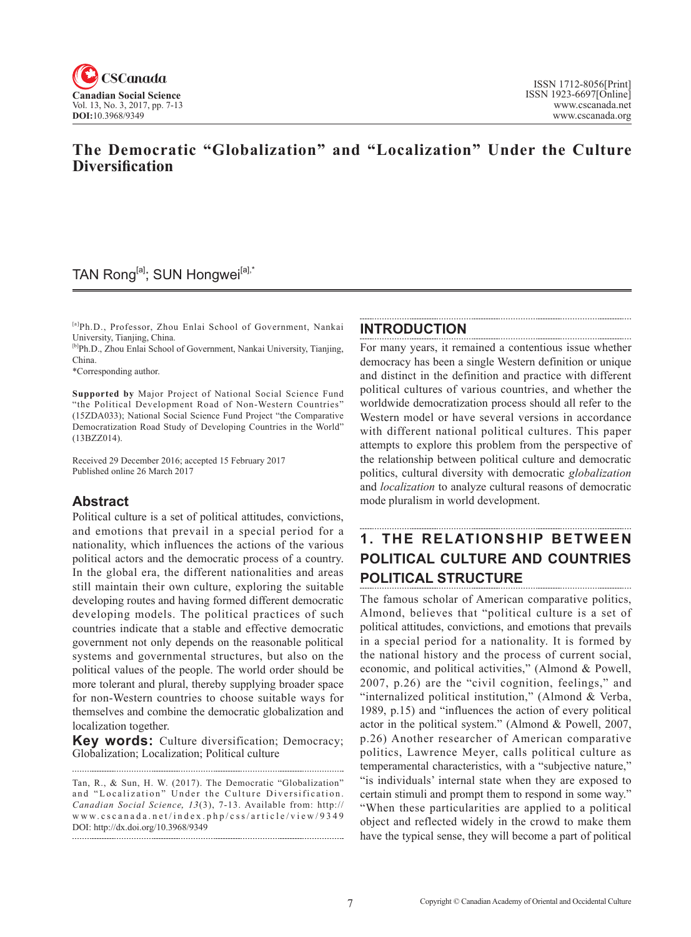

## **The Democratic "Globalization" and "Localization" Under the Culture Diversification**

## TAN Rong<sup>[a]</sup>; SUN Hongwei<sup>[a],\*</sup>

[a]Ph.D., Professor, Zhou Enlai School of Government, Nankai University, Tianjing, China.

[b]Ph.D., Zhou Enlai School of Government, Nankai University, Tianjing, China.

\*Corresponding author.

**Supported by** Major Project of National Social Science Fund "the Political Development Road of Non-Western Countries" (15ZDA033); National Social Science Fund Project "the Comparative Democratization Road Study of Developing Countries in the World" (13BZZ014).

Received 29 December 2016; accepted 15 February 2017 Published online 26 March 2017

## **Abstract**

Political culture is a set of political attitudes, convictions, and emotions that prevail in a special period for a nationality, which influences the actions of the various political actors and the democratic process of a country. In the global era, the different nationalities and areas still maintain their own culture, exploring the suitable developing routes and having formed different democratic developing models. The political practices of such countries indicate that a stable and effective democratic government not only depends on the reasonable political systems and governmental structures, but also on the political values of the people. The world order should be more tolerant and plural, thereby supplying broader space for non-Western countries to choose suitable ways for themselves and combine the democratic globalization and localization together.

**Key words:** Culture diversification; Democracy; Globalization; Localization; Political culture 

Tan, R., & Sun, H. W. (2017). The Democratic "Globalization" and "Localization" Under the Culture Diversification. Canadian Social Science, 13(3), 7-13. Available from: http:// www.cscanada.net/index.php/css/article/view/9349 DOI: http://dx.doi.org/10.3968/9349

#### **INTRODUCTION**

For many years, it remained a contentious issue whether democracy has been a single Western definition or unique and distinct in the definition and practice with different political cultures of various countries, and whether the worldwide democratization process should all refer to the Western model or have several versions in accordance with different national political cultures. This paper attempts to explore this problem from the perspective of the relationship between political culture and democratic politics, cultural diversity with democratic *globalization* and *localization* to analyze cultural reasons of democratic mode pluralism in world development.

# **1. THE RELATIONSHIP BETWEEN POLITICAL CULTURE AND COUNTRIES POLITICAL STRUCTURE**

The famous scholar of American comparative politics, Almond, believes that "political culture is a set of political attitudes, convictions, and emotions that prevails in a special period for a nationality. It is formed by the national history and the process of current social, economic, and political activities," (Almond & Powell, 2007, p.26) are the "civil cognition, feelings," and "internalized political institution," (Almond & Verba, 1989, p.15) and "influences the action of every political actor in the political system." (Almond & Powell, 2007, p.26) Another researcher of American comparative politics, Lawrence Meyer, calls political culture as temperamental characteristics, with a "subjective nature," "is individuals' internal state when they are exposed to certain stimuli and prompt them to respond in some way." "When these particularities are applied to a political object and reflected widely in the crowd to make them have the typical sense, they will become a part of political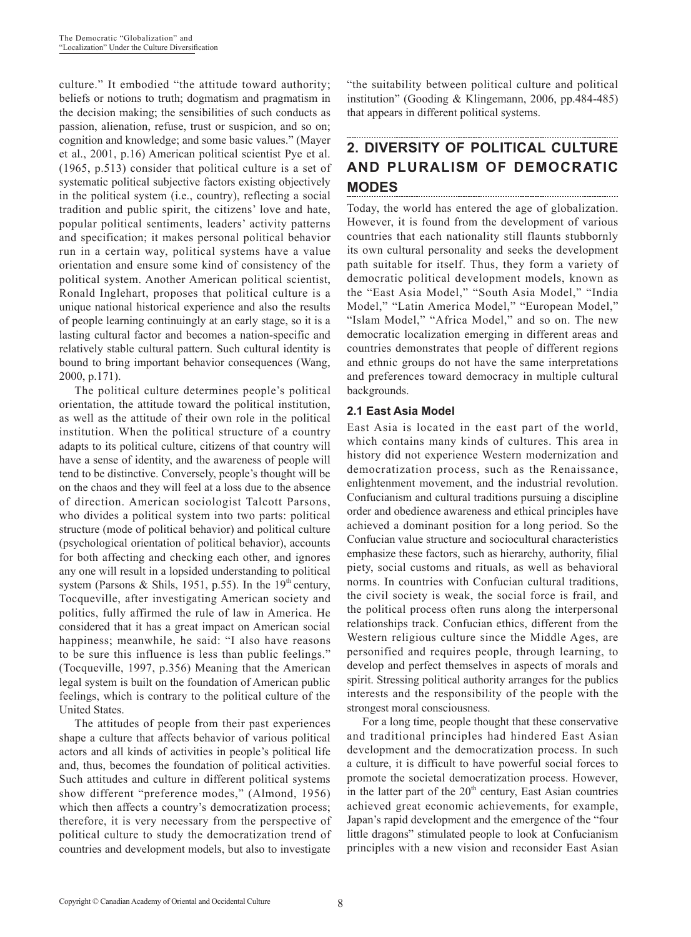culture." It embodied "the attitude toward authority; beliefs or notions to truth; dogmatism and pragmatism in the decision making; the sensibilities of such conducts as passion, alienation, refuse, trust or suspicion, and so on; cognition and knowledge; and some basic values." (Mayer et al., 2001, p.16) American political scientist Pye et al. (1965, p.513) consider that political culture is a set of systematic political subjective factors existing objectively in the political system (i.e., country), reflecting a social tradition and public spirit, the citizens' love and hate, popular political sentiments, leaders' activity patterns and specification; it makes personal political behavior run in a certain way, political systems have a value orientation and ensure some kind of consistency of the political system. Another American political scientist, Ronald Inglehart, proposes that political culture is a unique national historical experience and also the results of people learning continuingly at an early stage, so it is a lasting cultural factor and becomes a nation-specific and relatively stable cultural pattern. Such cultural identity is bound to bring important behavior consequences (Wang, 2000, p.171).

The political culture determines people's political orientation, the attitude toward the political institution, as well as the attitude of their own role in the political institution. When the political structure of a country adapts to its political culture, citizens of that country will have a sense of identity, and the awareness of people will tend to be distinctive. Conversely, people's thought will be on the chaos and they will feel at a loss due to the absence of direction. American sociologist Talcott Parsons, who divides a political system into two parts: political structure (mode of political behavior) and political culture (psychological orientation of political behavior), accounts for both affecting and checking each other, and ignores any one will result in a lopsided understanding to political system (Parsons & Shils, 1951, p.55). In the  $19<sup>th</sup>$  century, Tocqueville, after investigating American society and politics, fully affirmed the rule of law in America. He considered that it has a great impact on American social happiness; meanwhile, he said: "I also have reasons to be sure this influence is less than public feelings." (Tocqueville, 1997, p.356) Meaning that the American legal system is built on the foundation of American public feelings, which is contrary to the political culture of the United States.

The attitudes of people from their past experiences shape a culture that affects behavior of various political actors and all kinds of activities in people's political life and, thus, becomes the foundation of political activities. Such attitudes and culture in different political systems show different "preference modes," (Almond, 1956) which then affects a country's democratization process; therefore, it is very necessary from the perspective of political culture to study the democratization trend of countries and development models, but also to investigate

"the suitability between political culture and political institution" (Gooding & Klingemann, 2006, pp.484-485) that appears in different political systems.

## **2. DIVERSITY OF POLITICAL CULTURE AND PLURALISM OF DEMOCRATIC MODES**

Today, the world has entered the age of globalization. However, it is found from the development of various countries that each nationality still flaunts stubbornly its own cultural personality and seeks the development path suitable for itself. Thus, they form a variety of democratic political development models, known as the "East Asia Model," "South Asia Model," "India Model," "Latin America Model," "European Model," "Islam Model," "Africa Model," and so on. The new democratic localization emerging in different areas and countries demonstrates that people of different regions and ethnic groups do not have the same interpretations and preferences toward democracy in multiple cultural backgrounds.

### **2.1 East Asia Model**

East Asia is located in the east part of the world, which contains many kinds of cultures. This area in history did not experience Western modernization and democratization process, such as the Renaissance, enlightenment movement, and the industrial revolution. Confucianism and cultural traditions pursuing a discipline order and obedience awareness and ethical principles have achieved a dominant position for a long period. So the Confucian value structure and sociocultural characteristics emphasize these factors, such as hierarchy, authority, filial piety, social customs and rituals, as well as behavioral norms. In countries with Confucian cultural traditions, the civil society is weak, the social force is frail, and the political process often runs along the interpersonal relationships track. Confucian ethics, different from the Western religious culture since the Middle Ages, are personified and requires people, through learning, to develop and perfect themselves in aspects of morals and spirit. Stressing political authority arranges for the publics interests and the responsibility of the people with the strongest moral consciousness.

For a long time, people thought that these conservative and traditional principles had hindered East Asian development and the democratization process. In such a culture, it is difficult to have powerful social forces to promote the societal democratization process. However, in the latter part of the 20<sup>th</sup> century, East Asian countries achieved great economic achievements, for example, Japan's rapid development and the emergence of the "four little dragons" stimulated people to look at Confucianism principles with a new vision and reconsider East Asian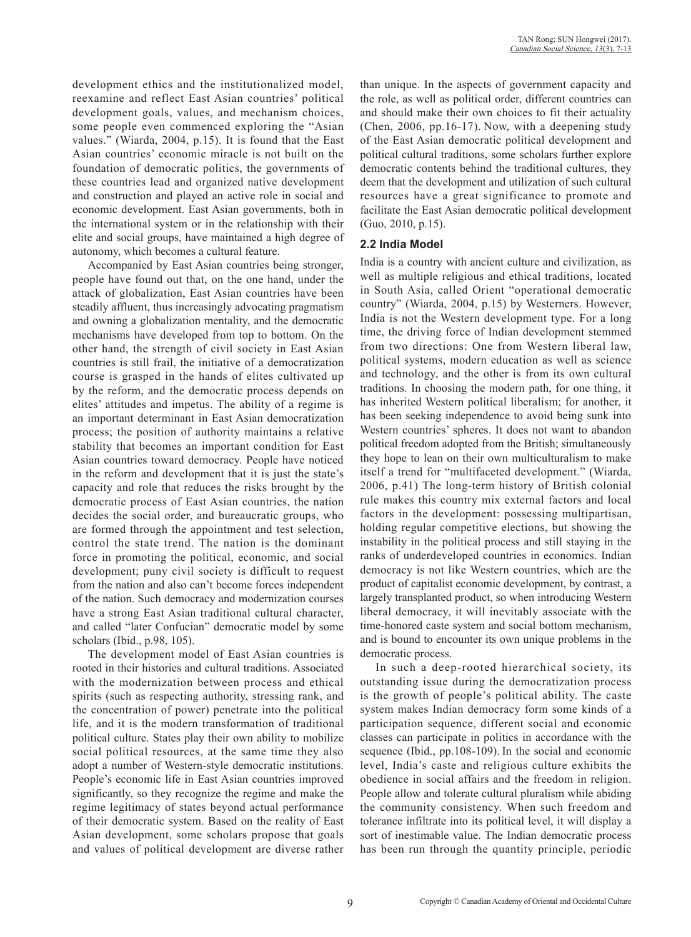development ethics and the institutionalized model, reexamine and reflect East Asian countries' political development goals, values, and mechanism choices, some people even commenced exploring the "Asian values." (Wiarda, 2004, p.15). It is found that the East Asian countries' economic miracle is not built on the foundation of democratic politics, the governments of these countries lead and organized native development and construction and played an active role in social and economic development. East Asian governments, both in the international system or in the relationship with their elite and social groups, have maintained a high degree of autonomy, which becomes a cultural feature.

Accompanied by East Asian countries being stronger, people have found out that, on the one hand, under the attack of globalization, East Asian countries have been steadily affluent, thus increasingly advocating pragmatism and owning a globalization mentality, and the democratic mechanisms have developed from top to bottom. On the other hand, the strength of civil society in East Asian countries is still frail, the initiative of a democratization course is grasped in the hands of elites cultivated up by the reform, and the democratic process depends on elites' attitudes and impetus. The ability of a regime is an important determinant in East Asian democratization process; the position of authority maintains a relative stability that becomes an important condition for East Asian countries toward democracy. People have noticed in the reform and development that it is just the state's capacity and role that reduces the risks brought by the democratic process of East Asian countries, the nation decides the social order, and bureaucratic groups, who are formed through the appointment and test selection, control the state trend. The nation is the dominant force in promoting the political, economic, and social development; puny civil society is difficult to request from the nation and also can't become forces independent of the nation. Such democracy and modernization courses have a strong East Asian traditional cultural character, and called "later Confucian" democratic model by some scholars (Ibid., p.98, 105).

The development model of East Asian countries is rooted in their histories and cultural traditions. Associated with the modernization between process and ethical spirits (such as respecting authority, stressing rank, and the concentration of power) penetrate into the political life, and it is the modern transformation of traditional political culture. States play their own ability to mobilize social political resources, at the same time they also adopt a number of Western-style democratic institutions. People's economic life in East Asian countries improved significantly, so they recognize the regime and make the regime legitimacy of states beyond actual performance of their democratic system. Based on the reality of East Asian development, some scholars propose that goals and values of political development are diverse rather than unique. In the aspects of government capacity and the role, as well as political order, different countries can and should make their own choices to fit their actuality (Chen, 2006, pp.16-17). Now, with a deepening study of the East Asian democratic political development and political cultural traditions, some scholars further explore democratic contents behind the traditional cultures, they deem that the development and utilization of such cultural resources have a great significance to promote and facilitate the East Asian democratic political development (Guo, 2010, p.15).

#### **2.2 India Model**

India is a country with ancient culture and civilization, as well as multiple religious and ethical traditions, located in South Asia, called Orient "operational democratic country" (Wiarda, 2004, p.15) by Westerners. However, India is not the Western development type. For a long time, the driving force of Indian development stemmed from two directions: One from Western liberal law, political systems, modern education as well as science and technology, and the other is from its own cultural traditions. In choosing the modern path, for one thing, it has inherited Western political liberalism; for another, it has been seeking independence to avoid being sunk into Western countries' spheres. It does not want to abandon political freedom adopted from the British; simultaneously they hope to lean on their own multiculturalism to make itself a trend for "multifaceted development." (Wiarda, 2006, p.41) The long-term history of British colonial rule makes this country mix external factors and local factors in the development: possessing multipartisan, holding regular competitive elections, but showing the instability in the political process and still staying in the ranks of underdeveloped countries in economics. Indian democracy is not like Western countries, which are the product of capitalist economic development, by contrast, a largely transplanted product, so when introducing Western liberal democracy, it will inevitably associate with the time-honored caste system and social bottom mechanism, and is bound to encounter its own unique problems in the democratic process.

In such a deep-rooted hierarchical society, its outstanding issue during the democratization process is the growth of people's political ability. The caste system makes Indian democracy form some kinds of a participation sequence, different social and economic classes can participate in politics in accordance with the sequence (Ibid., pp.108-109). In the social and economic level, India's caste and religious culture exhibits the obedience in social affairs and the freedom in religion. People allow and tolerate cultural pluralism while abiding the community consistency. When such freedom and tolerance infiltrate into its political level, it will display a sort of inestimable value. The Indian democratic process has been run through the quantity principle, periodic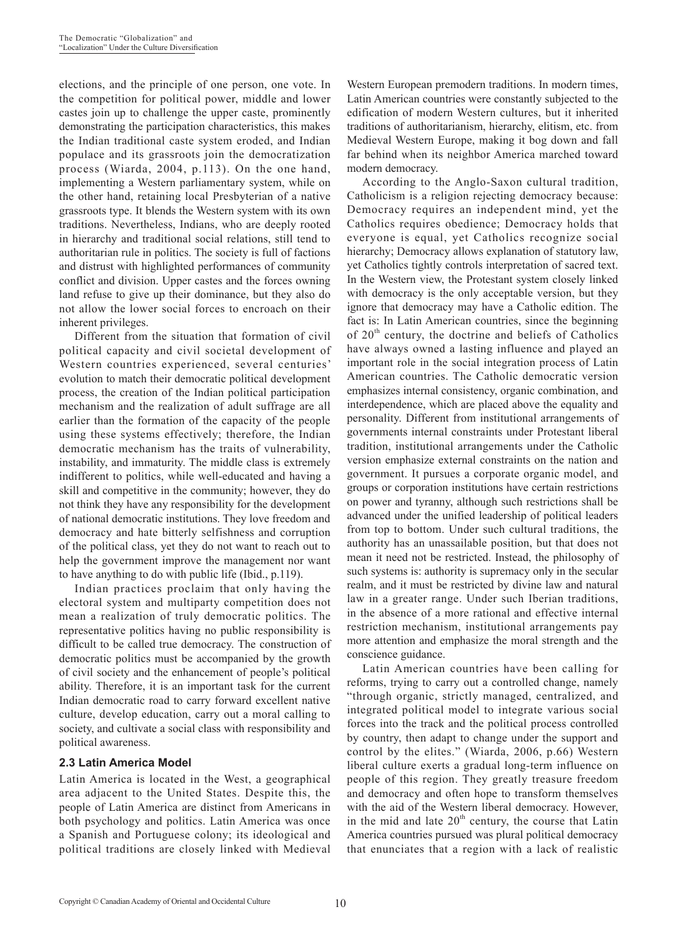elections, and the principle of one person, one vote. In the competition for political power, middle and lower castes join up to challenge the upper caste, prominently demonstrating the participation characteristics, this makes the Indian traditional caste system eroded, and Indian populace and its grassroots join the democratization process (Wiarda, 2004, p.113). On the one hand, implementing a Western parliamentary system, while on the other hand, retaining local Presbyterian of a native grassroots type. It blends the Western system with its own traditions. Nevertheless, Indians, who are deeply rooted in hierarchy and traditional social relations, still tend to authoritarian rule in politics. The society is full of factions and distrust with highlighted performances of community conflict and division. Upper castes and the forces owning land refuse to give up their dominance, but they also do not allow the lower social forces to encroach on their inherent privileges.

Different from the situation that formation of civil political capacity and civil societal development of Western countries experienced, several centuries' evolution to match their democratic political development process, the creation of the Indian political participation mechanism and the realization of adult suffrage are all earlier than the formation of the capacity of the people using these systems effectively; therefore, the Indian democratic mechanism has the traits of vulnerability, instability, and immaturity. The middle class is extremely indifferent to politics, while well-educated and having a skill and competitive in the community; however, they do not think they have any responsibility for the development of national democratic institutions. They love freedom and democracy and hate bitterly selfishness and corruption of the political class, yet they do not want to reach out to help the government improve the management nor want to have anything to do with public life (Ibid., p.119).

Indian practices proclaim that only having the electoral system and multiparty competition does not mean a realization of truly democratic politics. The representative politics having no public responsibility is difficult to be called true democracy. The construction of democratic politics must be accompanied by the growth of civil society and the enhancement of people's political ability. Therefore, it is an important task for the current Indian democratic road to carry forward excellent native culture, develop education, carry out a moral calling to society, and cultivate a social class with responsibility and political awareness.

#### **2.3 Latin America Model**

Latin America is located in the West, a geographical area adjacent to the United States. Despite this, the people of Latin America are distinct from Americans in both psychology and politics. Latin America was once a Spanish and Portuguese colony; its ideological and political traditions are closely linked with Medieval

Western European premodern traditions. In modern times, Latin American countries were constantly subjected to the edification of modern Western cultures, but it inherited traditions of authoritarianism, hierarchy, elitism, etc. from Medieval Western Europe, making it bog down and fall far behind when its neighbor America marched toward modern democracy.

According to the Anglo-Saxon cultural tradition, Catholicism is a religion rejecting democracy because: Democracy requires an independent mind, yet the Catholics requires obedience; Democracy holds that everyone is equal, yet Catholics recognize social hierarchy; Democracy allows explanation of statutory law, yet Catholics tightly controls interpretation of sacred text. In the Western view, the Protestant system closely linked with democracy is the only acceptable version, but they ignore that democracy may have a Catholic edition. The fact is: In Latin American countries, since the beginning of  $20<sup>th</sup>$  century, the doctrine and beliefs of Catholics have always owned a lasting influence and played an important role in the social integration process of Latin American countries. The Catholic democratic version emphasizes internal consistency, organic combination, and interdependence, which are placed above the equality and personality. Different from institutional arrangements of governments internal constraints under Protestant liberal tradition, institutional arrangements under the Catholic version emphasize external constraints on the nation and government. It pursues a corporate organic model, and groups or corporation institutions have certain restrictions on power and tyranny, although such restrictions shall be advanced under the unified leadership of political leaders from top to bottom. Under such cultural traditions, the authority has an unassailable position, but that does not mean it need not be restricted. Instead, the philosophy of such systems is: authority is supremacy only in the secular realm, and it must be restricted by divine law and natural law in a greater range. Under such Iberian traditions, in the absence of a more rational and effective internal restriction mechanism, institutional arrangements pay more attention and emphasize the moral strength and the conscience guidance.

Latin American countries have been calling for reforms, trying to carry out a controlled change, namely "through organic, strictly managed, centralized, and integrated political model to integrate various social forces into the track and the political process controlled by country, then adapt to change under the support and control by the elites." (Wiarda, 2006, p.66) Western liberal culture exerts a gradual long-term influence on people of this region. They greatly treasure freedom and democracy and often hope to transform themselves with the aid of the Western liberal democracy. However, in the mid and late  $20<sup>th</sup>$  century, the course that Latin America countries pursued was plural political democracy that enunciates that a region with a lack of realistic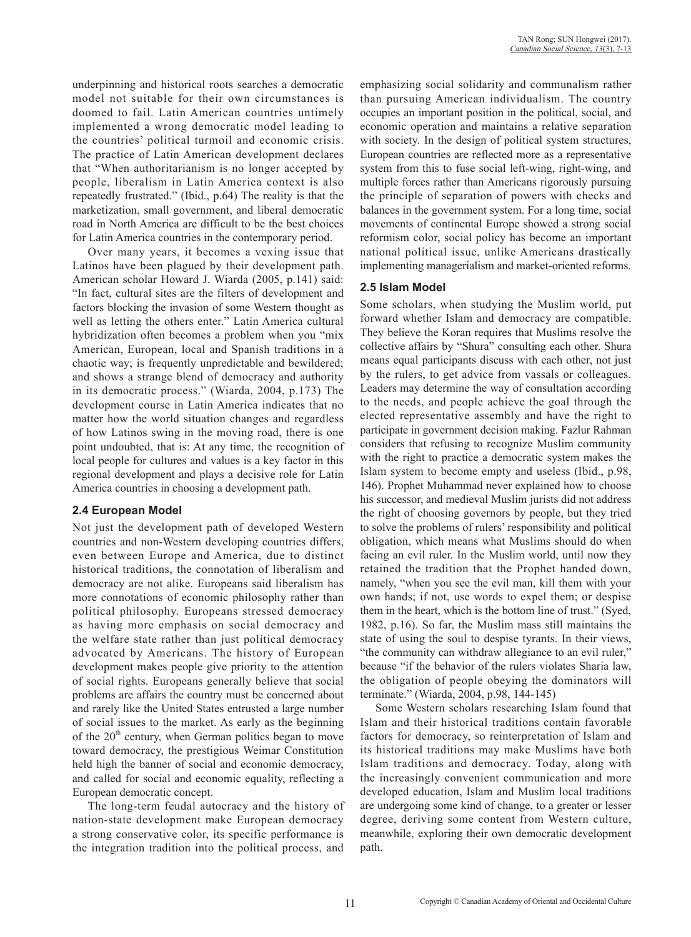underpinning and historical roots searches a democratic model not suitable for their own circumstances is doomed to fail. Latin American countries untimely implemented a wrong democratic model leading to the countries' political turmoil and economic crisis. The practice of Latin American development declares that "When authoritarianism is no longer accepted by people, liberalism in Latin America context is also repeatedly frustrated." (Ibid., p.64) The reality is that the marketization, small government, and liberal democratic road in North America are difficult to be the best choices for Latin America countries in the contemporary period.

Over many years, it becomes a vexing issue that Latinos have been plagued by their development path. American scholar Howard J. Wiarda (2005, p.141) said: "In fact, cultural sites are the filters of development and factors blocking the invasion of some Western thought as well as letting the others enter." Latin America cultural hybridization often becomes a problem when you "mix American, European, local and Spanish traditions in a chaotic way; is frequently unpredictable and bewildered; and shows a strange blend of democracy and authority in its democratic process." (Wiarda, 2004, p.173) The development course in Latin America indicates that no matter how the world situation changes and regardless of how Latinos swing in the moving road, there is one point undoubted, that is: At any time, the recognition of local people for cultures and values is a key factor in this regional development and plays a decisive role for Latin America countries in choosing a development path.

#### **2.4 European Model**

Not just the development path of developed Western countries and non-Western developing countries differs, even between Europe and America, due to distinct historical traditions, the connotation of liberalism and democracy are not alike. Europeans said liberalism has more connotations of economic philosophy rather than political philosophy. Europeans stressed democracy as having more emphasis on social democracy and the welfare state rather than just political democracy advocated by Americans. The history of European development makes people give priority to the attention of social rights. Europeans generally believe that social problems are affairs the country must be concerned about and rarely like the United States entrusted a large number of social issues to the market. As early as the beginning of the  $20<sup>th</sup>$  century, when German politics began to move toward democracy, the prestigious Weimar Constitution held high the banner of social and economic democracy, and called for social and economic equality, reflecting a European democratic concept.

The long-term feudal autocracy and the history of nation-state development make European democracy a strong conservative color, its specific performance is the integration tradition into the political process, and emphasizing social solidarity and communalism rather than pursuing American individualism. The country occupies an important position in the political, social, and economic operation and maintains a relative separation with society. In the design of political system structures, European countries are reflected more as a representative system from this to fuse social left-wing, right-wing, and multiple forces rather than Americans rigorously pursuing the principle of separation of powers with checks and balances in the government system. For a long time, social movements of continental Europe showed a strong social reformism color, social policy has become an important national political issue, unlike Americans drastically implementing managerialism and market-oriented reforms.

### **2.5 Islam Model**

Some scholars, when studying the Muslim world, put forward whether Islam and democracy are compatible. They believe the Koran requires that Muslims resolve the collective affairs by "Shura" consulting each other. Shura means equal participants discuss with each other, not just by the rulers, to get advice from vassals or colleagues. Leaders may determine the way of consultation according to the needs, and people achieve the goal through the elected representative assembly and have the right to participate in government decision making. Fazlur Rahman considers that refusing to recognize Muslim community with the right to practice a democratic system makes the Islam system to become empty and useless (Ibid., p.98, 146). Prophet Muhammad never explained how to choose his successor, and medieval Muslim jurists did not address the right of choosing governors by people, but they tried to solve the problems of rulers' responsibility and political obligation, which means what Muslims should do when facing an evil ruler. In the Muslim world, until now they retained the tradition that the Prophet handed down, namely, "when you see the evil man, kill them with your own hands; if not, use words to expel them; or despise them in the heart, which is the bottom line of trust." (Syed, 1982, p.16). So far, the Muslim mass still maintains the state of using the soul to despise tyrants. In their views, "the community can withdraw allegiance to an evil ruler," because "if the behavior of the rulers violates Sharia law, the obligation of people obeying the dominators will terminate." (Wiarda, 2004, p.98, 144-145)

Some Western scholars researching Islam found that Islam and their historical traditions contain favorable factors for democracy, so reinterpretation of Islam and its historical traditions may make Muslims have both Islam traditions and democracy. Today, along with the increasingly convenient communication and more developed education, Islam and Muslim local traditions are undergoing some kind of change, to a greater or lesser degree, deriving some content from Western culture, meanwhile, exploring their own democratic development path.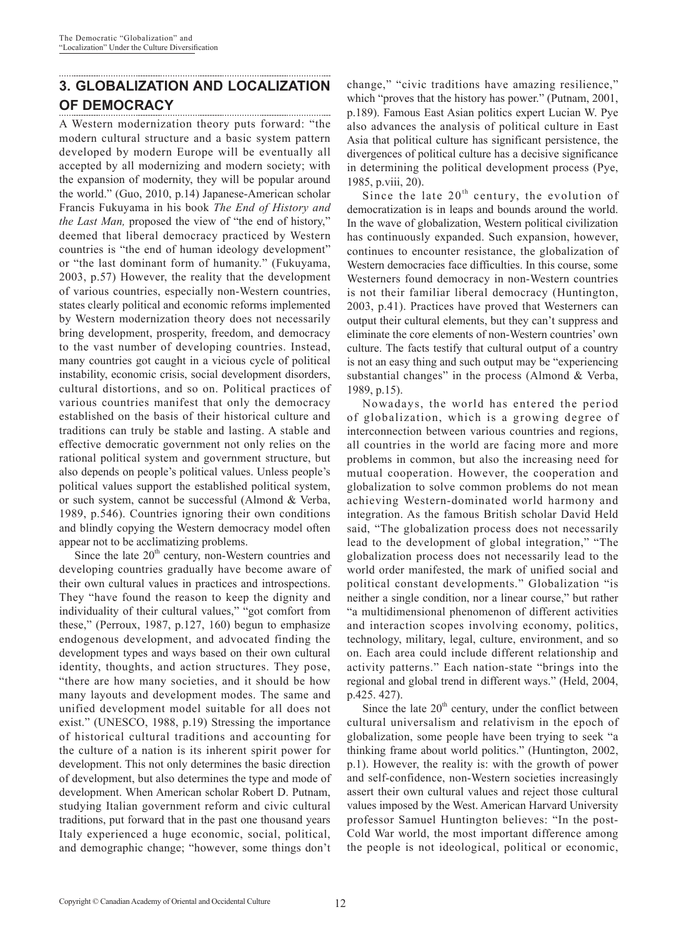# **3. GLOBALIZATION AND LOCALIZATION OF DEMOCRACY**

A Western modernization theory puts forward: "the modern cultural structure and a basic system pattern developed by modern Europe will be eventually all accepted by all modernizing and modern society; with the expansion of modernity, they will be popular around the world." (Guo, 2010, p.14) Japanese-American scholar Francis Fukuyama in his book *The End of History and the Last Man,* proposed the view of "the end of history," deemed that liberal democracy practiced by Western countries is "the end of human ideology development" or "the last dominant form of humanity." (Fukuyama, 2003, p.57) However, the reality that the development of various countries, especially non-Western countries, states clearly political and economic reforms implemented by Western modernization theory does not necessarily bring development, prosperity, freedom, and democracy to the vast number of developing countries. Instead, many countries got caught in a vicious cycle of political instability, economic crisis, social development disorders, cultural distortions, and so on. Political practices of various countries manifest that only the democracy established on the basis of their historical culture and traditions can truly be stable and lasting. A stable and effective democratic government not only relies on the rational political system and government structure, but also depends on people's political values. Unless people's political values support the established political system, or such system, cannot be successful (Almond & Verba, 1989, p.546). Countries ignoring their own conditions and blindly copying the Western democracy model often appear not to be acclimatizing problems.

Since the late  $20<sup>th</sup>$  century, non-Western countries and developing countries gradually have become aware of their own cultural values in practices and introspections. They "have found the reason to keep the dignity and individuality of their cultural values," "got comfort from these," (Perroux, 1987, p.127, 160) begun to emphasize endogenous development, and advocated finding the development types and ways based on their own cultural identity, thoughts, and action structures. They pose, "there are how many societies, and it should be how many layouts and development modes. The same and unified development model suitable for all does not exist." (UNESCO, 1988, p.19) Stressing the importance of historical cultural traditions and accounting for the culture of a nation is its inherent spirit power for development. This not only determines the basic direction of development, but also determines the type and mode of development. When American scholar Robert D. Putnam, studying Italian government reform and civic cultural traditions, put forward that in the past one thousand years Italy experienced a huge economic, social, political, and demographic change; "however, some things don't change," "civic traditions have amazing resilience," which "proves that the history has power." (Putnam, 2001, p.189). Famous East Asian politics expert Lucian W. Pye also advances the analysis of political culture in East Asia that political culture has significant persistence, the divergences of political culture has a decisive significance in determining the political development process (Pye, 1985, p.viii, 20).

Since the late  $20<sup>th</sup>$  century, the evolution of democratization is in leaps and bounds around the world. In the wave of globalization, Western political civilization has continuously expanded. Such expansion, however, continues to encounter resistance, the globalization of Western democracies face difficulties. In this course, some Westerners found democracy in non-Western countries is not their familiar liberal democracy (Huntington, 2003, p.41). Practices have proved that Westerners can output their cultural elements, but they can't suppress and eliminate the core elements of non-Western countries' own culture. The facts testify that cultural output of a country is not an easy thing and such output may be "experiencing substantial changes" in the process (Almond & Verba, 1989, p.15).

Nowadays, the world has entered the period of globalization, which is a growing degree of interconnection between various countries and regions, all countries in the world are facing more and more problems in common, but also the increasing need for mutual cooperation. However, the cooperation and globalization to solve common problems do not mean achieving Western-dominated world harmony and integration. As the famous British scholar David Held said, "The globalization process does not necessarily lead to the development of global integration," "The globalization process does not necessarily lead to the world order manifested, the mark of unified social and political constant developments." Globalization "is neither a single condition, nor a linear course," but rather "a multidimensional phenomenon of different activities and interaction scopes involving economy, politics, technology, military, legal, culture, environment, and so on. Each area could include different relationship and activity patterns." Each nation-state "brings into the regional and global trend in different ways." (Held, 2004, p.425. 427).

Since the late  $20<sup>th</sup>$  century, under the conflict between cultural universalism and relativism in the epoch of globalization, some people have been trying to seek "a thinking frame about world politics." (Huntington, 2002, p.1). However, the reality is: with the growth of power and self-confidence, non-Western societies increasingly assert their own cultural values and reject those cultural values imposed by the West. American Harvard University professor Samuel Huntington believes: "In the post-Cold War world, the most important difference among the people is not ideological, political or economic,